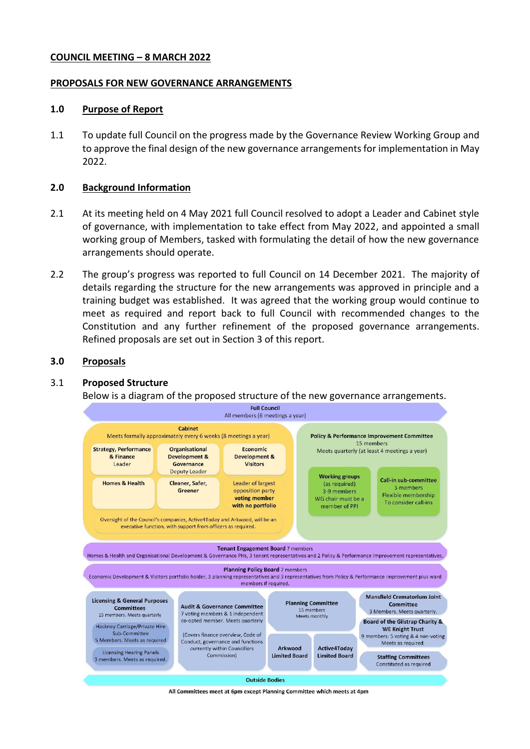#### **COUNCIL MEETING – 8 MARCH 2022**

#### **PROPOSALS FOR NEW GOVERNANCE ARRANGEMENTS**

#### **1.0 Purpose of Report**

1.1 To update full Council on the progress made by the Governance Review Working Group and to approve the final design of the new governance arrangements for implementation in May 2022.

#### **2.0 Background Information**

- 2.1 At its meeting held on 4 May 2021 full Council resolved to adopt a Leader and Cabinet style of governance, with implementation to take effect from May 2022, and appointed a small working group of Members, tasked with formulating the detail of how the new governance arrangements should operate.
- 2.2 The group's progress was reported to full Council on 14 December 2021. The majority of details regarding the structure for the new arrangements was approved in principle and a training budget was established. It was agreed that the working group would continue to meet as required and report back to full Council with recommended changes to the Constitution and any further refinement of the proposed governance arrangements. Refined proposals are set out in Section 3 of this report.

#### **3.0 Proposals**

### 3.1 **Proposed Structure**

Below is a diagram of the proposed structure of the new governance arrangements.



All Committees meet at 6pm except Planning Committee which meets at 4pm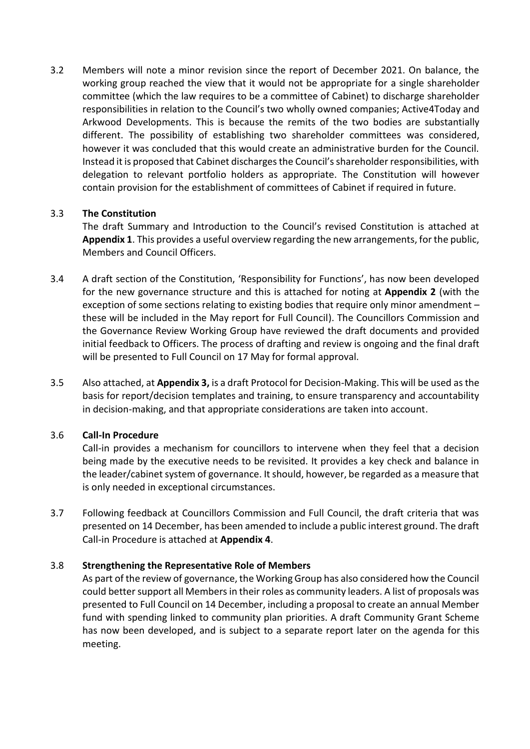3.2 Members will note a minor revision since the report of December 2021. On balance, the working group reached the view that it would not be appropriate for a single shareholder committee (which the law requires to be a committee of Cabinet) to discharge shareholder responsibilities in relation to the Council's two wholly owned companies; Active4Today and Arkwood Developments. This is because the remits of the two bodies are substantially different. The possibility of establishing two shareholder committees was considered, however it was concluded that this would create an administrative burden for the Council. Instead it is proposed that Cabinet discharges the Council's shareholder responsibilities, with delegation to relevant portfolio holders as appropriate. The Constitution will however contain provision for the establishment of committees of Cabinet if required in future.

### 3.3 **The Constitution**

The draft Summary and Introduction to the Council's revised Constitution is attached at **Appendix 1**. This provides a useful overview regarding the new arrangements, for the public, Members and Council Officers.

- 3.4 A draft section of the Constitution, 'Responsibility for Functions', has now been developed for the new governance structure and this is attached for noting at **Appendix 2** (with the exception of some sections relating to existing bodies that require only minor amendment – these will be included in the May report for Full Council). The Councillors Commission and the Governance Review Working Group have reviewed the draft documents and provided initial feedback to Officers. The process of drafting and review is ongoing and the final draft will be presented to Full Council on 17 May for formal approval.
- 3.5 Also attached, at **Appendix 3,** is a draft Protocol for Decision-Making. This will be used as the basis for report/decision templates and training, to ensure transparency and accountability in decision-making, and that appropriate considerations are taken into account.

# 3.6 **Call-In Procedure**

Call-in provides a mechanism for councillors to intervene when they feel that a decision being made by the executive needs to be revisited. It provides a key check and balance in the leader/cabinet system of governance. It should, however, be regarded as a measure that is only needed in exceptional circumstances.

3.7 Following feedback at Councillors Commission and Full Council, the draft criteria that was presented on 14 December, has been amended to include a public interest ground. The draft Call-in Procedure is attached at **Appendix 4**.

# 3.8 **Strengthening the Representative Role of Members**

As part of the review of governance, the Working Group has also considered how the Council could better support all Members in their roles as community leaders. A list of proposals was presented to Full Council on 14 December, including a proposal to create an annual Member fund with spending linked to community plan priorities. A draft Community Grant Scheme has now been developed, and is subject to a separate report later on the agenda for this meeting.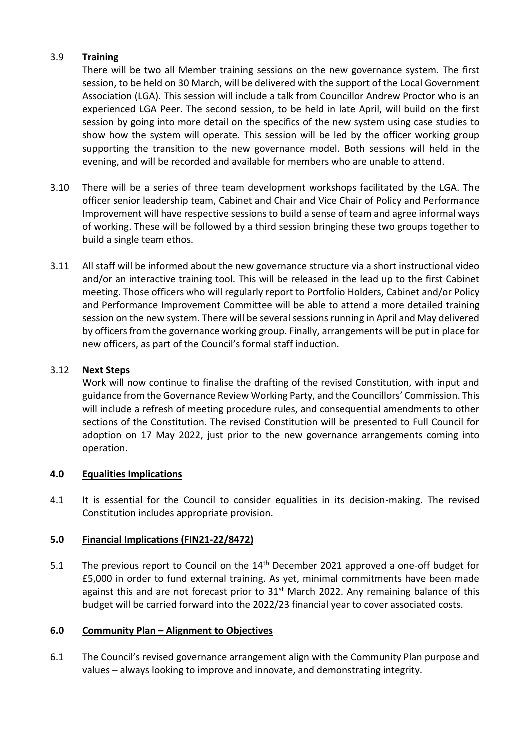# 3.9 **Training**

There will be two all Member training sessions on the new governance system. The first session, to be held on 30 March, will be delivered with the support of the Local Government Association (LGA). This session will include a talk from Councillor Andrew Proctor who is an experienced LGA Peer. The second session, to be held in late April, will build on the first session by going into more detail on the specifics of the new system using case studies to show how the system will operate. This session will be led by the officer working group supporting the transition to the new governance model. Both sessions will held in the evening, and will be recorded and available for members who are unable to attend.

- 3.10 There will be a series of three team development workshops facilitated by the LGA. The officer senior leadership team, Cabinet and Chair and Vice Chair of Policy and Performance Improvement will have respective sessions to build a sense of team and agree informal ways of working. These will be followed by a third session bringing these two groups together to build a single team ethos.
- 3.11 All staff will be informed about the new governance structure via a short instructional video and/or an interactive training tool. This will be released in the lead up to the first Cabinet meeting. Those officers who will regularly report to Portfolio Holders, Cabinet and/or Policy and Performance Improvement Committee will be able to attend a more detailed training session on the new system. There will be several sessions running in April and May delivered by officers from the governance working group. Finally, arrangements will be put in place for new officers, as part of the Council's formal staff induction.

### 3.12 **Next Steps**

Work will now continue to finalise the drafting of the revised Constitution, with input and guidance from the Governance Review Working Party, and the Councillors' Commission. This will include a refresh of meeting procedure rules, and consequential amendments to other sections of the Constitution. The revised Constitution will be presented to Full Council for adoption on 17 May 2022, just prior to the new governance arrangements coming into operation.

# **4.0 Equalities Implications**

4.1 It is essential for the Council to consider equalities in its decision-making. The revised Constitution includes appropriate provision.

# **5.0 Financial Implications (FIN21-22/8472)**

5.1 The previous report to Council on the  $14<sup>th</sup>$  December 2021 approved a one-off budget for £5,000 in order to fund external training. As yet, minimal commitments have been made against this and are not forecast prior to  $31<sup>st</sup>$  March 2022. Any remaining balance of this budget will be carried forward into the 2022/23 financial year to cover associated costs.

### **6.0 Community Plan – Alignment to Objectives**

6.1 The Council's revised governance arrangement align with the Community Plan purpose and values – always looking to improve and innovate, and demonstrating integrity.